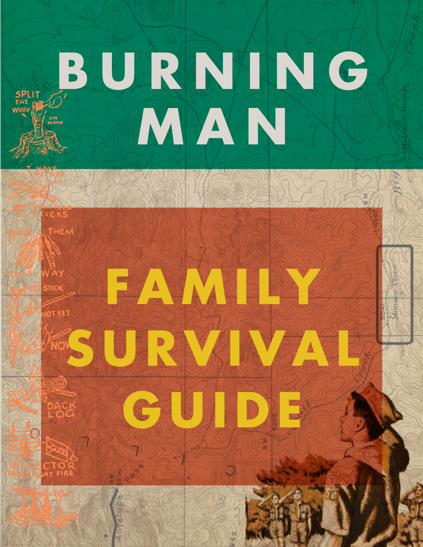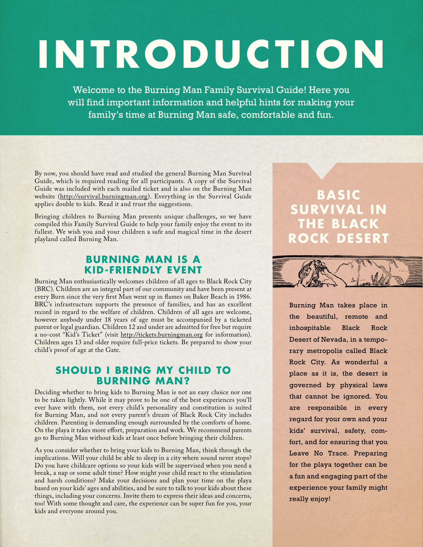# **INTRODUCTION**

Welcome to the Burning Man Family Survival Guide! Here you will find important information and helpful hints for making your family's time at Burning Man safe, comfortable and fun.

By now, you should have read and studied the general Burning Man Survival Guide, which is required reading for all participants. A copy of the Survival Guide was included with each mailed ticket and is also on the Burning Man website (http://survival.burningman.org). Everything in the Survival Guide applies double to kids. Read it and trust the suggestions.

Bringing children to Burning Man presents unique challenges, so we have compiled this Family Survival Guide to help your family enjoy the event to its fullest. We wish you and your children a safe and magical time in the desert playland called Burning Man.

#### **Burning Man is a Kid-Friendly Event**

Burning Man enthusiastically welcomes children of all ages to Black Rock City (BRC). Children are an integral part of our community and have been present at every Burn since the very first Man went up in flames on Baker Beach in 1986. BRC's infrastructure supports the presence of families, and has an excellent record in regard to the welfare of children. Children of all ages are welcome, however anybody under 18 years of age must be accompanied by a ticketed parent or legal guardian. Children 12 and under are admitted for free but require a no-cost "Kid's Ticket" (visit http://tickets.burningman.org for information). Children ages 13 and older require full-price tickets. Be prepared to show your child's proof of age at the Gate.

#### **Should I Bring my Child to Burning Man?**

Deciding whether to bring kids to Burning Man is not an easy choice nor one to be taken lightly. While it may prove to be one of the best experiences you'll ever have with them, not every child's personality and constitution is suited for Burning Man, and not every parent's dream of Black Rock City includes children. Parenting is demanding enough surrounded by the comforts of home. On the playa it takes more effort, preparation and work. We recommend parents go to Burning Man without kids at least once before bringing their children.

As you consider whether to bring your kids to Burning Man, think through the implications. Will your child be able to sleep in a city where sound never stops? Do you have childcare options so your kids will be supervised when you need a break, a nap or some adult time? How might your child react to the stimulation and harsh conditions? Make your decisions and plan your time on the playa based on your kids' ages and abilities, and be sure to talk to your kids about these things, including your concerns. Invite them to express their ideas and concerns, too! With some thought and care, the experience can be super fun for you, your kids and everyone around you.

**BASIC RVIVAL IN THE BLACK ROCK DESERT**



Burning Man takes place in the beautiful, remote and inhospitable Black Rock Desert of Nevada, in a temporary metropolis called Black Rock City. As wonderful a place as it is, the desert is governed by physical laws that cannot be ignored. You are responsible in every regard for your own and your kids' survival, safety, comfort, and for ensuring that you Leave No Trace. Preparing for the playa together can be a fun and engaging part of the experience your family might really enjoy!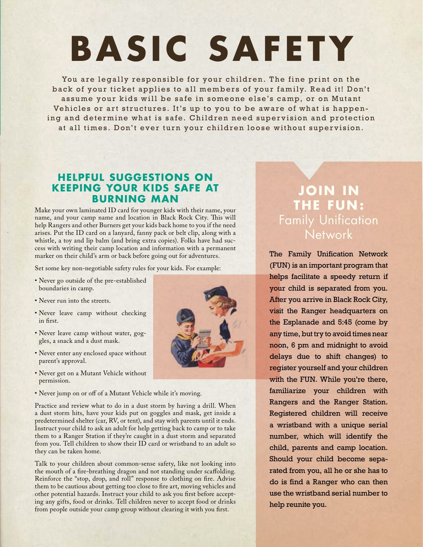## **BASIC SAFETY**

You are legally responsible for your children. The fine print on the back of your ticket applies to all members of your family. Read it! Don't assume your kids will be safe in someone else's camp, or on Mutant Vehicles or art structures. It's up to you to be aware of what is happening and determine what is safe. Children need supervision and protection at all times. Don't ever turn your children loose without supervision.

#### **Helpful Suggestions on Keeping Your Kids Safe at Burning Man**

Make your own laminated ID card for younger kids with their name, your name, and your camp name and location in Black Rock City. This will help Rangers and other Burners get your kids back home to you if the need arises. Put the ID card on a lanyard, fanny pack or belt clip, along with a whistle, a toy and lip balm (and bring extra copies). Folks have had success with writing their camp location and information with a permanent marker on their child's arm or back before going out for adventures.

Set some key non-negotiable safety rules for your kids. For example:

- Never go outside of the pre-established boundaries in camp.
- Never run into the streets.
- Never leave camp without checking in first.
- Never leave camp without water, goggles, a snack and a dust mask.
- Never enter any enclosed space without parent's approval.
- Never get on a Mutant Vehicle without permission.
- Never jump on or off of a Mutant Vehicle while it's moving.

Practice and review what to do in a dust storm by having a drill. When a dust storm hits, have your kids put on goggles and mask, get inside a predetermined shelter (car, RV, or tent), and stay with parents until it ends. Instruct your child to ask an adult for help getting back to camp or to take them to a Ranger Station if they're caught in a dust storm and separated from you. Tell children to show their ID card or wristband to an adult so they can be taken home.

Talk to your children about common-sense safety, like not looking into the mouth of a fire-breathing dragon and not standing under scaffolding. Reinforce the "stop, drop, and roll" response to clothing on fire. Advise them to be cautious about getting too close to fire art, moving vehicles and other potential hazards. Instruct your child to ask you first before accepting any gifts, food or drinks. Tell children never to accept food or drinks from people outside your camp group without clearing it with you first.

### **Join in th e FUN :**  Family Unification **Network**

The Family Unification Network (FUN) is an important program that helps facilitate a speedy return if your child is separated from you. After you arrive in Black Rock City, visit the Ranger headquarters on the Esplanade and 5:45 (come by any time, but try to avoid times near noon, 6 pm and midnight to avoid delays due to shift changes) to register yourself and your children with the FUN. While you're there, familiarize your children with Rangers and the Ranger Station. Registered children will receive a wristband with a unique serial number, which will identify the child, parents and camp location. Should your child become separated from you, all he or she has to do is find a Ranger who can then use the wristband serial number to help reunite you.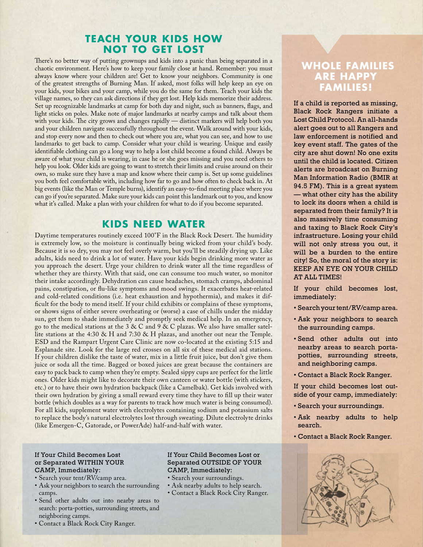#### **Teach Your Kids How Not to Get Lost**

There's no better way of putting grownups and kids into a panic than being separated in a chaotic environment. Here's how to keep your family close at hand. Remember: you must always know where your children are! Get to know your neighbors. Community is one of the greatest strengths of Burning Man. If asked, most folks will help keep an eye on your kids, your bikes and your camp, while you do the same for them. Teach your kids the village names, so they can ask directions if they get lost. Help kids memorize their address. Set up recognizable landmarks at camp for both day and night, such as banners, flags, and light sticks on poles. Make note of major landmarks at nearby camps and talk about them with your kids. The city grows and changes rapidly — distinct markers will help both you and your children navigate successfully throughout the event. Walk around with your kids, and stop every now and then to check out where you are, what you can see, and how to use landmarks to get back to camp. Consider what your child is wearing. Unique and easily identifiable clothing can go a long way to help a lost child become a found child. Always be aware of what your child is wearing, in case he or she goes missing and you need others to help you look. Older kids are going to want to stretch their limits and cruise around on their own, so make sure they have a map and know where their camp is. Set up some guidelines you both feel comfortable with, including how far to go and how often to check back in. At big events (like the Man or Temple burns), identify an easy-to-find meeting place where you can go if you're separated. Make sure your kids can point this landmark out to you, and know what it's called. Make a plan with your children for what to do if you become separated.

#### **K IDS NEED WATER**

Daytime temperatures routinely exceed 100°F in the Black Rock Desert. The humidity is extremely low, so the moisture is continually being wicked from your child's body. Because it is so dry, you may not feel overly warm, but you'll be steadily drying up. Like adults, kids need to drink a lot of water. Have your kids begin drinking more water as you approach the desert. Urge your children to drink water all the time regardless of whether they are thirsty. With that said, one can consume too much water, so monitor their intake accordingly. Dehydration can cause headaches, stomach cramps, abdominal pains, constipation, or flu-like symptoms and mood swings. It exacerbates heat-related and cold-related conditions (i.e. heat exhaustion and hypothermia), and makes it difficult for the body to mend itself. If your child exhibits or complains of these symptoms, or shows signs of either severe overheating or (worse) a case of chills under the midday sun, get them to shade immediately and promptly seek medical help. In an emergency, go to the medical stations at the 3 & C and 9 & C plazas. We also have smaller satellite stations at the 4:30 & H and 7:30 & H plazas, and another out near the Temple. ESD and the Rampart Urgent Care Clinic are now co-located at the existing 5:15 and Esplanade site. Look for the large red crosses on all six of these medical aid stations. If your children dislike the taste of water, mix in a little fruit juice, but don't give them juice or soda all the time. Bagged or boxed juices are great because the containers are easy to pack back to camp when they're empty. Sealed sippy cups are perfect for the little ones. Older kids might like to decorate their own canteen or water bottle (with stickers, etc.) or to have their own hydration backpack (like a Camelbak). Get kids involved with their own hydration by giving a small reward every time they have to fill up their water bottle (which doubles as a way for parents to track how much water is being consumed). For all kids, supplement water with electrolytes containing sodium and potassium salts to replace the body's natural electrolytes lost through sweating. Dilute electrolyte drinks (like Emergen-C, Gatorade, or PowerAde) half-and-half with water.

#### If Your Child Becomes Lost or Separated WITHIN YOUR CAMP, Immediately:

- Search your tent/RV/camp area.
- Ask your neighbors to search the surrounding camps.
- Send other adults out into nearby areas to search: porta-potties, surrounding streets, and neighboring camps.
- Contact a Black Rock City Ranger.

#### If Your Child Becomes Lost or Separated OUTSIDE OF YOUR CAMP, Immediately:

- Search your surroundings.
- Ask nearby adults to help search.
- Contact a Black Rock City Ranger.

#### **WHOLE FAMILIES ARE HAPPY FAMILIES!**

If a child is reported as missing, Black Rock Rangers initiate a Lost Child Protocol. An all-hands alert goes out to all Rangers and law enforcement is notified and key event staff. The gates of the city are shut down! No one exits until the child is located. Citizen alerts are broadcast on Burning Man Information Radio (BMIR at 94.5 FM). This is a great system — what other city has the ability to lock its doors when a child is separated from their family? It is also massively time consuming and taxing to Black Rock City's infrastructure. Losing your child will not only stress you out, it will be a burden to the entire city! So, the moral of the story is: KEEP AN EYE ON YOUR CHILD AT ALL TIMES!

If your child becomes lost, immediately:

- Search your tent/RV/camp area.
- Ask your neighbors to search the surrounding camps.
- Send other adults out into nearby areas to search portapotties, surrounding streets, and neighboring camps.
- Contact a Black Rock Ranger.

If your child becomes lost outside of your camp, immediately:

- Search your surroundings.
- Ask nearby adults to help search.
- Contact a Black Rock Ranger.

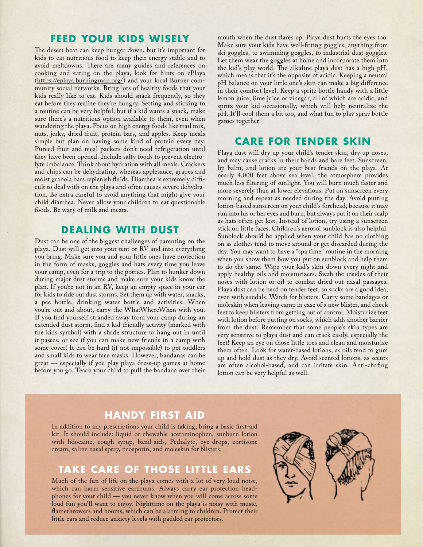#### **Feed Your Kids wisely**

The desert heat can keep hunger down, but it's important for kids to eat nutritious food to keep their energy stable and to avoid meltdowns. There are many guides and references on cooking and eating on the playa, look for hints on ePlaya (https://eplaya.burningman.org/) and your local Burner community social networks. Bring lots of healthy foods that your kids really like to eat. Kids should snack frequently, so they eat before they realize they're hungry. Setting and sticking to a routine can be very helpful, but if a kid wants a snack, make sure there's a nutritious option available to them, even when wandering the playa. Focus on high energy foods like trail mix, nuts, jerky, dried fruit, protein bars, and apples. Keep meals simple but plan on having some kind of protein every day. Pureed fruit and meal packets don't need refrigeration until they have been opened. Include salty foods to prevent electrolyte imbalance. Think about hydration with all meals. Crackers and chips can be dehydrating, whereas applesauce, grapes and moist granola bars replenish fluids. Diarrhea is extremely difficult to deal with on the playa and often causes severe dehydration. Be extra careful to avoid anything that might give your child diarrhea. Never allow your children to eat questionable foods. Be wary of milk and meats.

#### **Dealing with Dust**

Dust can be one of the biggest challenges of parenting on the playa. Dust will get into your tent or RV and into everything you bring. Make sure you and your little ones have protection in the form of masks, goggles and hats every time you leave your camp, even for a trip to the potties. Plan to hunker down during major dust storms and make sure your kids know the plan. If you're not in an RV, keep an empty space in your car for kids to ride out dust storms. Set them up with water, snacks, a pee bottle, drinking water bottle and activities. When you're out and about, carry the WhatWhereWhen with you. If you find yourself stranded away from your camp during an extended dust storm, find a kid-friendly activity (marked with the kids symbol) with a shade structure to hang out in until it passes, or see if you can make new friends in a camp with some cover! It can be hard (if not impossible) to get toddlers and small kids to wear face masks. However, bandanas can be great — especially if you play playa dress-up games at home before you go. Teach your child to pull the bandana over their mouth when the dust flares up. Playa dust hurts the eyes too. Make sure your kids have well-fitting goggles, anything from ski goggles, to swimming goggles, to industrial dust goggles. Let them wear the goggles at home and incorporate them into the kid's play world. The alkaline playa dust has a high pH, which means that it's the opposite of acidic. Keeping a neutral pH balance on your little one's skin can make a big difference in their comfort level. Keep a spritz bottle handy with a little lemon juice, lime juice or vinegar, all of which are acidic, and spritz your kid occasionally, which will help neutralize the pH. It'll cool them a bit too, and what fun to play spray bottle games together!

#### **Care for Tender Skin**

Playa dust will dry up your child's tender skin, dry up noses, and may cause cracks in their hands and bare feet. Sunscreen, lip balm, and lotion are your best friends on the playa. At nearly 4,000 feet above sea level, the atmosphere provides much less filtering of sunlight. You will burn much faster and more severely than at lower elevations. Put on sunscreen every morning and repeat as needed during the day. Avoid putting lotion-based sunscreen on your child's forehead, because it may run into his or her eyes and burn, but always put it on their scalp as hats often get lost. Instead of lotion, try using a sunscreen stick on little faces. Children's aerosol sunblock is also helpful. Sunblock should be applied when your child has no clothing on as clothes tend to move around or get discarded during the day. You may want to have a "spa time" routine in the morning when you show them how you put on sunblock and help them to do the same. Wipe your kid's skin down every night and apply healthy oils and moisturizers. Swab the insides of their noses with lotion or oil to combat dried-out nasal passages. Playa dust can be hard on tender feet, so socks are a good idea, even with sandals. Watch for blisters. Carry some bandages or moleskin when leaving camp in case of a new blister, and check feet to keep blisters from getting out of control. Moisturize feet with lotion before putting on socks, which adds another barrier from the dust. Remember that some people's skin types are very sensitive to playa dust and can crack easily, especially the feet! Keep an eye on those little toes and clean and moisturize them often. Look for water-based lotions, as oils tend to gum up and hold dust as they dry. Avoid scented lotions, as scents are often alcohol-based, and can irritate skin. Anti-chafing lotion can be very helpful as well.

#### **Handy First Aid**

In addition to any prescriptions your child is taking, bring a basic first-aid kit. It should include: liquid or chewable acetaminophen, sunburn lotion with lidocaine, cough syrup, band-aids, Pedialyte, eye-drops, cortisone cream, saline nasal spray, neosporin, and moleskin for blisters.

#### **Take Care of Those Little Ears**

Much of the fun of life on the playa comes with a lot of very loud noise, which can harm sensitive eardrums. Always carry ear protection headphones for your child — you never know when you will come across some loud fun you'll want to enjoy. Nighttime on the playa is noisy with music, flamethrowers and booms, which can be alarming to children. Protect their little ears and reduce anxiety levels with padded ear protectors.

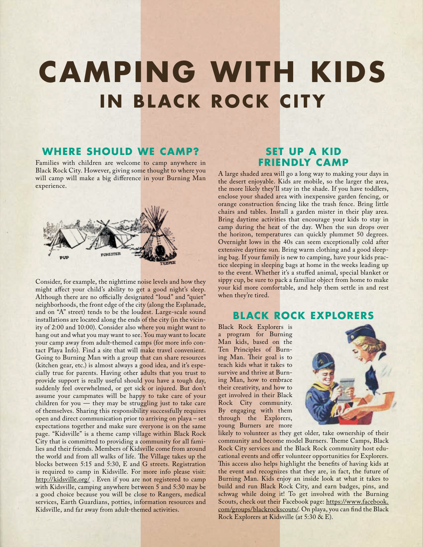### **Camping with Kids IN BLACK ROCK CITY**

#### **Where Should We Camp?**

Families with children are welcome to camp anywhere in Black Rock City. However, giving some thought to where you will camp will make a big difference in your Burning Man experience.



Consider, for example, the nighttime noise levels and how they might affect your child's ability to get a good night's sleep. Although there are no officially designated "loud" and "quiet" neighborhoods, the front edge of the city (along the Esplanade, and on "A" street) tends to be the loudest. Large-scale sound installations are located along the ends of the city (in the vicinity of 2:00 and 10:00). Consider also where you might want to hang out and what you may want to see. You may want to locate your camp away from adult-themed camps (for more info contact Playa Info). Find a site that will make travel convenient. Going to Burning Man with a group that can share resources (kitchen gear, etc.) is almost always a good idea, and it's especially true for parents. Having other adults that you trust to provide support is really useful should you have a tough day, suddenly feel overwhelmed, or get sick or injured. But don't assume your campmates will be happy to take care of your children for you — they may be struggling just to take care of themselves. Sharing this responsibility successfully requires open and direct communication prior to arriving on playa – set expectations together and make sure everyone is on the same page. "Kidsville" is a theme camp village within Black Rock City that is committed to providing a community for all families and their friends. Members of Kidsville come from around the world and from all walks of life. The Village takes up the blocks between 5:15 and 5:30, E and G streets. Registration is required to camp in Kidsville. For more info please visit: http://kidsville.org/ . Even if you are not registered to camp with Kidsville, camping anywhere between 5 and 5:30 may be a good choice because you will be close to Rangers, medical services, Earth Guardians, potties, information resources and Kidsville, and far away from adult-themed activities.

#### **Set Up a Kid Friendly Camp**

A large shaded area will go a long way to making your days in the desert enjoyable. Kids are mobile, so the larger the area, the more likely they'll stay in the shade. If you have toddlers, enclose your shaded area with inexpensive garden fencing, or orange construction fencing like the trash fence. Bring little chairs and tables. Install a garden mister in their play area. Bring daytime activities that encourage your kids to stay in camp during the heat of the day. When the sun drops over the horizon, temperatures can quickly plummet 50 degrees. Overnight lows in the 40s can seem exceptionally cold after extensive daytime sun. Bring warm clothing and a good sleeping bag. If your family is new to camping, have your kids practice sleeping in sleeping bags at home in the weeks leading up to the event. Whether it's a stuffed animal, special blanket or sippy cup, be sure to pack a familiar object from home to make your kid more comfortable, and help them settle in and rest when they're tired.

#### **Black Rock explorers**

Black Rock Explorers is a program for Burning Man kids, based on the Ten Principles of Burning Man. Their goal is to teach kids what it takes to survive and thrive at Burning Man, how to embrace their creativity, and how to get involved in their Black Rock City community. By engaging with them through the Explorers, young Burners are more



likely to volunteer as they get older, take ownership of their community and become model Burners. Theme Camps, Black Rock City services and the Black Rock community host educational events and offer volunteer opportunities for Explorers. This access also helps highlight the benefits of having kids at the event and recognizes that they are, in fact, the future of Burning Man. Kids enjoy an inside look at what it takes to build and run Black Rock City, and earn badges, pins, and schwag while doing it! To get involved with the Burning Scouts, check out their Facebook page: https://www.facebook. com/groups/blackrockscouts/. On playa, you can find the Black Rock Explorers at Kidsville (at 5:30 & E).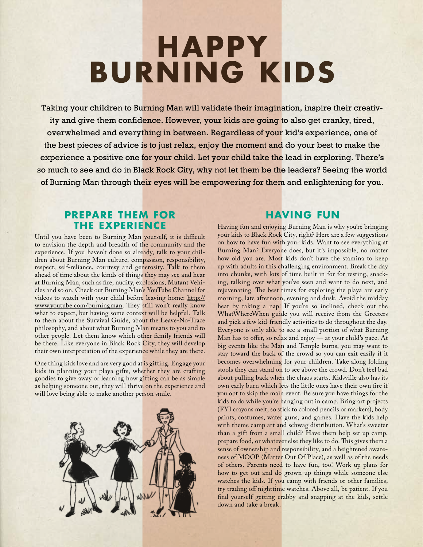### **Happy Burning Kids**

Taking your children to Burning Man will validate their imagination, inspire their creativity and give them confidence. However, your kids are going to also get cranky, tired, overwhelmed and everything in between. Regardless of your kid's experience, one of the best pieces of advice is to just relax, enjoy the moment and do your best to make the experience a positive one for your child. Let your child take the lead in exploring. There's so much to see and do in Black Rock City, why not let them be the leaders? Seeing the world of Burning Man through their eyes will be empowering for them and enlightening for you.

#### **Prepare Them for the Experience**

Until you have been to Burning Man yourself, it is difficult to envision the depth and breadth of the community and the experience. If you haven't done so already, talk to your children about Burning Man culture, compassion, responsibility, respect, self-reliance, courtesy and generosity. Talk to them ahead of time about the kinds of things they may see and hear at Burning Man, such as fire, nudity, explosions, Mutant Vehicles and so on. Check out Burning Man's YouTube Channel for videos to watch with your child before leaving home: http:// www.youtube.com/burningman. They still won't really know what to expect, but having some context will be helpful. Talk to them about the Survival Guide, about the Leave-No-Trace philosophy, and about what Burning Man means to you and to other people. Let them know which other family friends will be there. Like everyone in Black Rock City, they will develop their own interpretation of the experience while they are there.

One thing kids love and are very good at is gifting. Engage your kids in planning your playa gifts, whether they are crafting goodies to give away or learning how gifting can be as simple as helping someone out, they will thrive on the experience and will love being able to make another person smile.



#### **Having Fun**

Having fun and enjoying Burning Man is why you're bringing your kids to Black Rock City, right? Here are a few suggestions on how to have fun with your kids. Want to see everything at Burning Man? Everyone does, but it's impossible, no matter how old you are. Most kids don't have the stamina to keep up with adults in this challenging environment. Break the day into chunks, with lots of time built in for for resting, snacking, talking over what you've seen and want to do next, and rejuvenating. The best times for exploring the playa are early morning, late afternoon, evening and dusk. Avoid the midday heat by taking a nap! If you're so inclined, check out the WhatWhereWhen guide you will receive from the Greeters and pick a few kid-friendly activities to do throughout the day. Everyone is only able to see a small portion of what Burning Man has to offer, so relax and enjoy — at your child's pace. At big events like the Man and Temple burns, you may want to stay toward the back of the crowd so you can exit easily if it becomes overwhelming for your children. Take along folding stools they can stand on to see above the crowd. Don't feel bad about pulling back when the chaos starts. Kidsville also has its own early burn which lets the little ones have their own fire if you opt to skip the main event. Be sure you have things for the kids to do while you're hanging out in camp. Bring art projects (FYI crayons melt, so stick to colored pencils or markers), body paints, costumes, water guns, and games. Have the kids help with theme camp art and schwag distribution. What's sweeter than a gift from a small child? Have them help set up camp, prepare food, or whatever else they like to do. This gives them a sense of ownership and responsibility, and a heightened awareness of MOOP (Matter Out Of Place), as well as of the needs of others. Parents need to have fun, too! Work up plans for how to get out and do grown-up things while someone else watches the kids. If you camp with friends or other families, try trading off nighttime watches. Above all, be patient. If you find yourself getting crabby and snapping at the kids, settle down and take a break.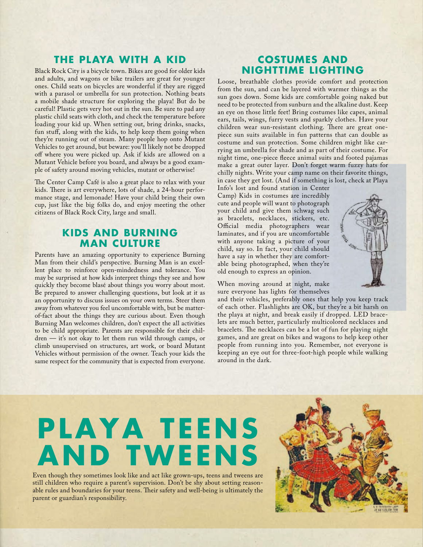#### **the Playa with a Kid**

Black Rock City is a bicycle town. Bikes are good for older kids and adults, and wagons or bike trailers are great for younger ones. Child seats on bicycles are wonderful if they are rigged with a parasol or umbrella for sun protection. Nothing beats a mobile shade structure for exploring the playa! But do be careful! Plastic gets very hot out in the sun. Be sure to pad any plastic child seats with cloth, and check the temperature before loading your kid up. When setting out, bring drinks, snacks, fun stuff, along with the kids, to help keep them going when they're running out of steam. Many people hop onto Mutant Vehicles to get around, but beware: you'll likely not be dropped off where you were picked up. Ask if kids are allowed on a Mutant Vehicle before you board, and always be a good example of safety around moving vehicles, mutant or otherwise!

The Center Camp Café is also a great place to relax with your kids. There is art everywhere, lots of shade, a 24-hour performance stage, and lemonade! Have your child bring their own cup, just like the big folks do, and enjoy meeting the other citizens of Black Rock City, large and small.

#### **Kids and Burning Man Culture**

Parents have an amazing opportunity to experience Burning Man from their child's perspective. Burning Man is an excellent place to reinforce open-mindedness and tolerance. You may be surprised at how kids interpret things they see and how quickly they become blasé about things you worry about most. Be prepared to answer challenging questions, but look at it as an opportunity to discuss issues on your own terms. Steer them away from whatever you feel uncomfortable with, but be matterof-fact about the things they are curious about. Even though Burning Man welcomes children, don't expect the all activities to be child appropriate. Parents are responsible for their children — it's not okay to let them run wild through camps, or climb unsupervised on structures, art work, or board Mutant Vehicles without permission of the owner. Teach your kids the same respect for the community that is expected from everyone.

#### **Costumes and Nighttime Lighting**

Loose, breathable clothes provide comfort and protection from the sun, and can be layered with warmer things as the sun goes down. Some kids are comfortable going naked but need to be protected from sunburn and the alkaline dust. Keep an eye on those little feet! Bring costumes like capes, animal ears, tails, wings, furry vests and sparkly clothes. Have your children wear sun-resistant clothing. There are great onepiece sun suits available in fun patterns that can double as costume and sun protection. Some children might like carrying an umbrella for shade and as part of their costume. For night time, one-piece fleece animal suits and footed pajamas make a great outer layer. Don't forget warm fuzzy hats for chilly nights. Write your camp name on their favorite things, in case they get lost. (And if something is lost, check at Playa

Info's lost and found station in Center Camp) Kids in costumes are incredibly cute and people will want to photograph your child and give them schwag such as bracelets, necklaces, stickers, etc. Official media photographers wear laminates, and if you are uncomfortable with anyone taking a picture of your child, say so. In fact, your child should have a say in whether they are comfortable being photographed, when they're old enough to express an opinion.

When moving around at night, make sure everyone has lights for themselves

and their vehicles, preferably ones that help you keep track of each other. Flashlights are OK, but they're a bit harsh on the playa at night, and break easily if dropped. LED bracelets are much better, particularly multicolored necklaces and bracelets. The necklaces can be a lot of fun for playing night games, and are great on bikes and wagons to help keep other people from running into you. Remember, not everyone is keeping an eye out for three-foot-high people while walking around in the dark.

### **Playa Te ens and Tweens**

Even though they sometimes look like and act like grown-ups, teens and tweens are still children who require a parent's supervision. Don't be shy about setting reasonable rules and boundaries for your teens. Their safety and well-being is ultimately the parent or guardian's responsibility.

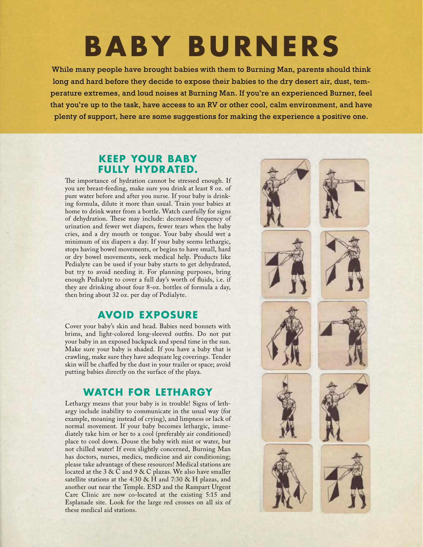## **Baby Burners**

While many people have brought babies with them to Burning Man, parents should think long and hard before they decide to expose their babies to the dry desert air, dust, temperature extremes, and loud noises at Burning Man. If you're an experienced Burner, feel that you're up to the task, have access to an RV or other cool, calm environment, and have plenty of support, here are some suggestions for making the experience a positive one.

#### **Keep Your Baby Fully Hydrated.**

The importance of hydration cannot be stressed enough. If you are breast-feeding, make sure you drink at least 8 oz. of pure water before and after you nurse. If your baby is drinking formula, dilute it more than usual. Train your babies at home to drink water from a bottle. Watch carefully for signs of dehydration. These may include: decreased frequency of urination and fewer wet diapers, fewer tears when the baby cries, and a dry mouth or tongue. Your baby should wet a minimum of six diapers a day. If your baby seems lethargic, stops having bowel movements, or begins to have small, hard or dry bowel movements, seek medical help. Products like Pedialyte can be used if your baby starts to get dehydrated, but try to avoid needing it. For planning purposes, bring enough Pedialyte to cover a full day's worth of fluids, i.e. if they are drinking about four 8-oz. bottles of formula a day, then bring about 32 oz. per day of Pedialyte.

#### **Avoid Exposure**

Cover your baby's skin and head. Babies need bonnets with brims, and light-colored long-sleeved outfits. Do not put your baby in an exposed backpack and spend time in the sun. Make sure your baby is shaded. If you have a baby that is crawling, make sure they have adequate leg coverings. Tender skin will be chaffed by the dust in your trailer or space; avoid putting babies directly on the surface of the playa.

#### **Watch for Lethargy**

Lethargy means that your baby is in trouble! Signs of lethargy include inability to communicate in the usual way (for example, moaning instead of crying), and limpness or lack of normal movement. If your baby becomes lethargic, immediately take him or her to a cool (preferably air conditioned) place to cool down. Douse the baby with mist or water, but not chilled water! If even slightly concerned, Burning Man has doctors, nurses, medics, medicine and air conditioning; please take advantage of these resources! Medical stations are located at the 3 & C and 9 & C plazas. We also have smaller satellite stations at the 4:30 & H and 7:30 & H plazas, and another out near the Temple. ESD and the Rampart Urgent Care Clinic are now co-located at the existing 5:15 and Esplanade site. Look for the large red crosses on all six of these medical aid stations.